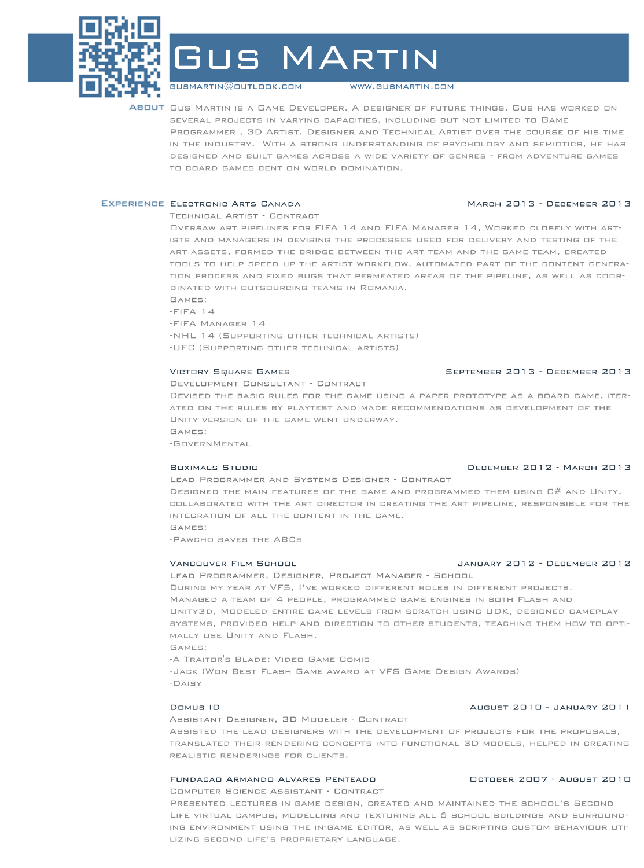

GUS MARTIN

g usmar tin@o utlook. com

www.g usm ar tin.com

ABOUT GUS MARTIN IS A GAME DEVELOPER. A DESIGNER OF FUTURE THINGS, GUS HAS WORKED ON SEVERAL PROJECTS IN VARYING CAPACITIES, INCLUDING BUT NOT LIMITED TO GAME PROGRAMMER, 3D ARTIST, DESIGNER AND TECHNICAL ARTIST OVER THE COURSE OF HIS TIME IN THE INDUSTRY. WITH A STRONG UNDERSTANDING OF PSYCHOLOGY AND SEMIOTICS, HE HAS DESIGNED AND BUILT GAMES ACROSS A WIDE VARIETY OF GENRES - FROM ADVENTURE GAMES TO BOARD GAMES BENT ON WORLD DOMINATION.

# EXPERIENCE ELECTRONIC ARTS CANADA MARCH 2013 - DECEMBER 2013

# TECHNICAL ARTIST - CONTRACT

OVERSAW ART PIPELINES FOR FIFA 14 AND FIFA MANAGER 14, WORKED CLOSELY WITH ART-ISTS AND MANAGERS IN DEVISING THE PROCESSES USED FOR DELIVERY AND TESTING OF THE ART ASSETS, FORMED THE BRIDGE BETWEEN THE ART TEAM AND THE GAME TEAM, CREATED TOOLS TO HELP SPEED UP THE ARTIST WORKFLOW, AUTOMATED PART OF THE CONTENT GENERA-TION PROCESS AND FIXED BUGS THAT PERMEATED AREAS OF THE PIPELINE, AS WELL AS COOR-DINATED WITH DUTSOURCING TEAMS IN ROMANIA.

Games:

 $-FIFA$  14

-FIFAManager14

-NHL 14 (SUPPORTING OTHER TECHNICAL ARTISTS)

-UFC (SUPPORTING OTHER TECHNICAL ARTISTS)

### VictorySquareGames September2013-December2013

### DEVELOPMENT CONSULTANT - CONTRACT

DEVISED THE BASIC RULES FOR THE GAME USING A PAPER PROTOTYPE AS A BOARD GAME, ITER-ATED ON THE RULES BY PLAYTEST AND MADE RECOMMENDATIONS AS DEVELOPMENT OF THE UNITY VERSION OF THE GAME WENT UNDERWAY. Games:

-GovernMental

## BOXIMALS STUDIO **DECEMBER 2012 - MARCH 2013**

LEAD PROGRAMMER AND SYSTEMS DESIGNER - CONTRACT DESIGNED THE MAIN FEATURES OF THE GAME AND PROGRAMMED THEM USING  $C\#$  and Unity, COLLABORATED WITH THE ART DIRECTOR IN CREATING THE ART PIPELINE, RESPONSIBLE FOR THE INTEGRATION OF ALL THE CONTENT IN THE GAME.

Games:

-PAWCHO SAVES THE ABCS

LEAD PROGRAMMER, DESIGNER, PROJECT MANAGER - SCHOOL DURING MY YEAR AT VFS, I'VE WORKED DIFFERENT ROLES IN DIFFERENT PROJECTS. MANAGED A TEAM OF 4 PEOPLE, PROGRAMMED GAME ENGINES IN BOTH FLASH AND UNITY3D, MODELED ENTIRE GAME LEVELS FROM SCRATCH USING UDK, DESIGNED GAMEPLAY systems, provided help and direction to other students, teaching them how to opti-MALLY USE UNITY AND FLASH. Games:

-A TRAITOR'S BLADE: VIDEO GAME COMIC -JACK (WON BEST FLASH GAME AWARD AT VFS GAME DESIGN AWARDS) -Daisy

ASSISTANT DESIGNER, 3D MODELER - CONTRACT

ASSISTED THE LEAD DESIGNERS WITH THE DEVELOPMENT OF PROJECTS FOR THE PROPOSALS, TRANSLATED THEIR RENDERING CONCEPTS INTO FUNCTIONAL 3D MODELS, HELPED IN CREATING REALISTIC RENDERINGS FOR CLIENTS.

### FundacaoArmandoAlvaresPenteado October2007-August2010 COMPUTER SCIENCE ASSISTANT - CONTRACT

PRESENTED LECTURES IN GAME DESIGN, CREATED AND MAINTAINED THE SCHOOL'S SECOND LIFE VIRTUAL CAMPUS, MODELLING AND TEXTURING ALL 6 SCHOOL BUILDINGS AND SURROUND-ING ENVIRONMENT USING THE IN-GAME EDITOR, AS WELL AS SCRIPTING CUSTOM BEHAVIOUR UTI-LIZING SECOND LIFE'S PROPRIETARY LANGUAGE.

# VANCOUVER FILM SCHOOL **CONTACT CONTROL** JANUARY 2012 - DECEMBER 2012

DomusID August2010-January2011